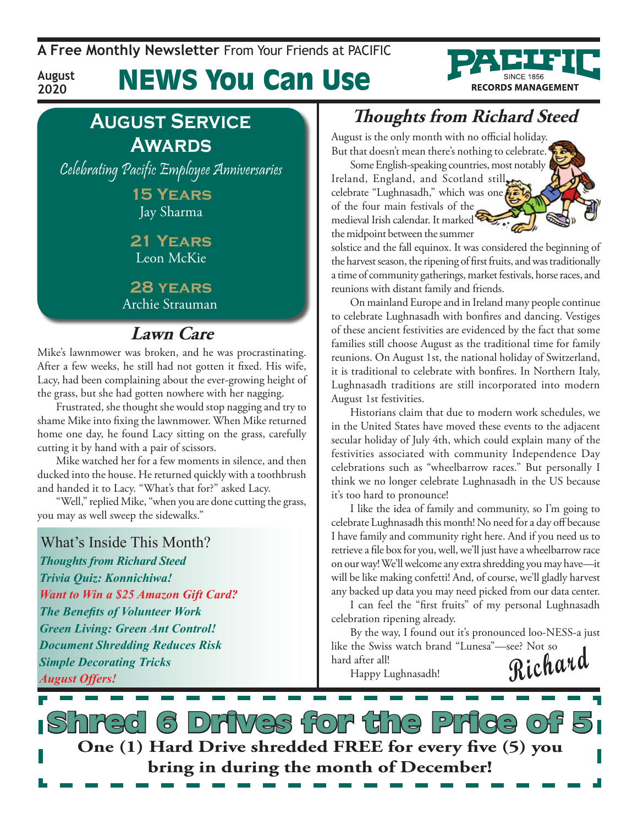**A Free Monthly Newsletter** From Your Friends at Pacific

# News You Can Use



**August Service Awards**

**August 2020**

Celebrating Pacific Employee Anniversaries

**15 Years** Jay Sharma

### **21 Years** Leon McKie

**28 years** Archie Strauman

### **Lawn Care**

Mike's lawnmower was broken, and he was procrastinating. After a few weeks, he still had not gotten it fixed. His wife, Lacy, had been complaining about the ever-growing height of the grass, but she had gotten nowhere with her nagging.

Frustrated, she thought she would stop nagging and try to shame Mike into fixing the lawnmower. When Mike returned home one day, he found Lacy sitting on the grass, carefully cutting it by hand with a pair of scissors.

Mike watched her for a few moments in silence, and then ducked into the house. He returned quickly with a toothbrush and handed it to Lacy. "What's that for?" asked Lacy.

"Well," replied Mike, "when you are done cutting the grass, you may as well sweep the sidewalks."

What's Inside This Month? *Thoughts from Richard Steed Trivia Quiz: Konnichiwa! Want to Win a \$25 Amazon Gift Card? The Benefits of Volunteer Work Green Living: Green Ant Control! Document Shredding Reduces Risk Simple Decorating Tricks August Offers!*

## **Thoughts from Richard Steed**

August is the only month with no official holiday. But that doesn't mean there's nothing to celebrate.

Some English-speaking countries, most notably Ireland, England, and Scotland still celebrate "Lughnasadh," which was one of the four main festivals of the medieval Irish calendar. It marked the midpoint between the summer



solstice and the fall equinox. It was considered the beginning of the harvest season, the ripening of first fruits, and was traditionally a time of community gatherings, market festivals, horse races, and reunions with distant family and friends.

On mainland Europe and in Ireland many people continue to celebrate Lughnasadh with bonfires and dancing. Vestiges of these ancient festivities are evidenced by the fact that some families still choose August as the traditional time for family reunions. On August 1st, the national holiday of Switzerland, it is traditional to celebrate with bonfires. In Northern Italy, Lughnasadh traditions are still incorporated into modern August 1st festivities.

Historians claim that due to modern work schedules, we in the United States have moved these events to the adjacent secular holiday of July 4th, which could explain many of the festivities associated with community Independence Day celebrations such as "wheelbarrow races." But personally I think we no longer celebrate Lughnasadh in the US because it's too hard to pronounce!

I like the idea of family and community, so I'm going to celebrate Lughnasadh this month! No need for a day off because I have family and community right here. And if you need us to retrieve a file box for you, well, we'll just have a wheelbarrow race on our way! We'll welcome any extra shredding you may have—it will be like making confetti! And, of course, we'll gladly harvest any backed up data you may need picked from our data center.

I can feel the "first fruits" of my personal Lughnasadh celebration ripening already.

By the way, I found out it's pronounced loo-NESS-a just like the Swiss watch brand "Lunesa"—see? Not so hard after all!

<sup>1 after all!</sup> Happy Lughnasadh! **Richard** 

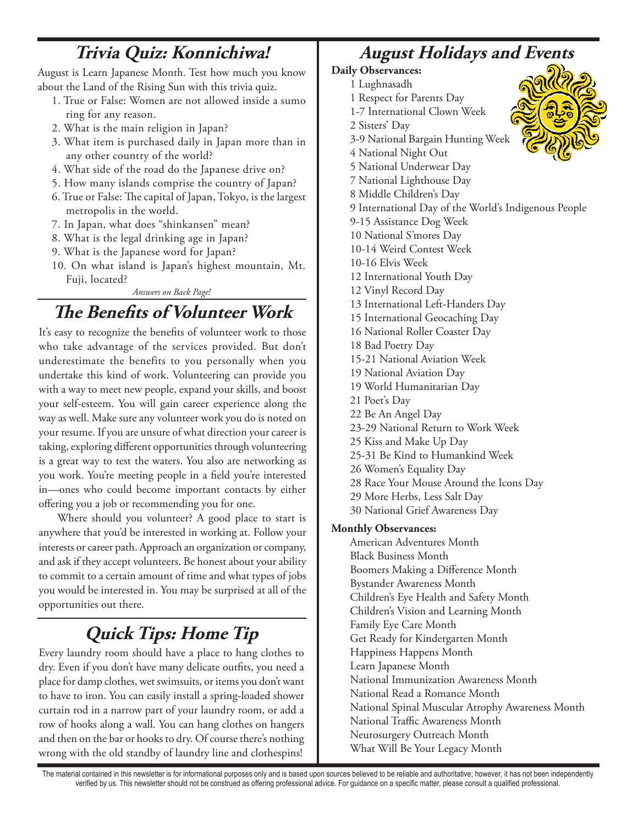## **Trivia Quiz: Konnichiwa!**

August is Learn Japanese Month. Test how much you know about the Land of the Rising Sun with this trivia quiz.

- 1. True or False: Women are not allowed inside a sumo ring for any reason.
- 2. What is the main religion in Japan?
- 3. What item is purchased daily in Japan more than in any other country of the world?
- 4. What side of the road do the Japanese drive on?
- 5. How many islands comprise the country of Japan?
- 6. True or False: The capital of Japan, Tokyo, is the largest metropolis in the world.
- 7. In Japan, what does "shinkansen" mean?
- 8. What is the legal drinking age in Japan?
- 9. What is the Japanese word for Japan?
- 10. On what island is Japan's highest mountain, Mt. Fuji, located?

### *Answers on Back Page!*

## **The Benefits of Volunteer Work**

It's easy to recognize the benefits of volunteer work to those who take advantage of the services provided. But don't underestimate the benefits to you personally when you undertake this kind of work. Volunteering can provide you with a way to meet new people, expand your skills, and boost your self-esteem. You will gain career experience along the way as well. Make sure any volunteer work you do is noted on your resume. If you are unsure of what direction your career is taking, exploring different opportunities through volunteering is a great way to test the waters. You also are networking as you work. You're meeting people in a field you're interested in—ones who could become important contacts by either offering you a job or recommending you for one.

Where should you volunteer? A good place to start is anywhere that you'd be interested in working at. Follow your interests or career path. Approach an organization or company, and ask if they accept volunteers. Be honest about your ability to commit to a certain amount of time and what types of jobs you would be interested in. You may be surprised at all of the opportunities out there.

## **Quick Tips: Home Tip**

Every laundry room should have a place to hang clothes to dry. Even if you don't have many delicate outfits, you need a place for damp clothes, wet swimsuits, or items you don't want to have to iron. You can easily install a spring-loaded shower curtain rod in a narrow part of your laundry room, or add a row of hooks along a wall. You can hang clothes on hangers and then on the bar or hooks to dry. Of course there's nothing wrong with the old standby of laundry line and clothespins!

## **August Holidays and Events**

### **Daily Observances:**

- 1 Lughnasadh
- 1 Respect for Parents Day
- 1-7 International Clown Week
- 2 Sisters' Day
- 3-9 National Bargain Hunting Week
- 4 National Night Out
- 5 National Underwear Day
- 7 National Lighthouse Day
- 8 Middle Children's Day
- 9 International Day of the World's Indigenous People
- 9-15 Assistance Dog Week
- 10 National S'mores Day
- 10-14 Weird Contest Week
- 10-16 Elvis Week
- 12 International Youth Day
- 12 Vinyl Record Day
- 13 International Left-Handers Day
- 15 International Geocaching Day
- 16 National Roller Coaster Day
- 18 Bad Poetry Day
- 15-21 National Aviation Week
- 19 National Aviation Day
- 19 World Humanitarian Day
- 21 Poet's Day
- 22 Be An Angel Day
- 23-29 National Return to Work Week
- 25 Kiss and Make Up Day
- 25-31 Be Kind to Humankind Week
- 26 Women's Equality Day
- 28 Race Your Mouse Around the Icons Day
- 29 More Herbs, Less Salt Day
- 30 National Grief Awareness Day

### **Monthly Observances:**

American Adventures Month Black Business Month Boomers Making a Difference Month Bystander Awareness Month Children's Eye Health and Safety Month Children's Vision and Learning Month Family Eye Care Month Get Ready for Kindergarten Month Happiness Happens Month Learn Japanese Month National Immunization Awareness Month National Read a Romance Month National Spinal Muscular Atrophy Awareness Month National Traffic Awareness Month Neurosurgery Outreach Month What Will Be Your Legacy Month



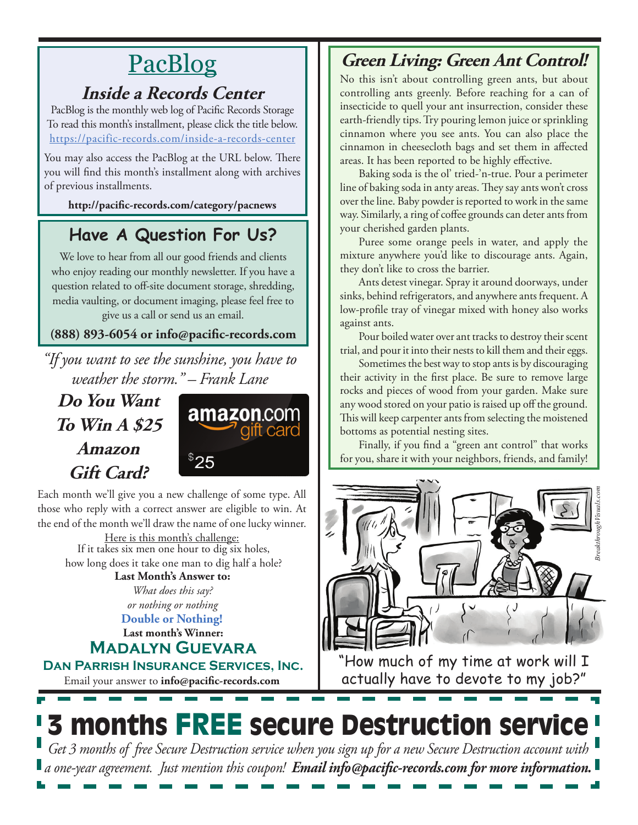# PacBlog

## **Inside a Records Center**

PacBlog is the monthly web log of Pacific Records Storage To read this month's installment, please click the title below[.](http://pacific-records.com/5-advantages-of-a-local-shredding-and-destruction-provider) <https://pacific-records.com/inside-a-records-center>

You may also access the PacBlog at the URL below. There you will find this month's installment along with archives of previous installments.

**http://pacific-records.com/category/pacnews**

## **Have A Question For Us?**

We love to hear from all our good friends and clients who enjoy reading our monthly newsletter. If you have a question related to off-site document storage, shredding, media vaulting, or document imaging, please feel free to give us a call or send us an email.

### **(888) 893-6054 or info@pacific-records.com**

*"If you want to see the sunshine, you have to weather the storm." – Frank Lane*

**Do You Want To Win A \$25 Amazon Gift Card?**



Each month we'll give you a new challenge of some type. All those who reply with a correct answer are eligible to win. At the end of the month we'll draw the name of one lucky winner.

Here is this month's challenge: **Last Month's Answer to:**  If it takes six men one hour to dig six holes, how long does it take one man to dig half a hole?

*What does this say? or nothing or nothing*

**Double or Nothing!**

**Last month's Winner: Madalyn Guevara**

**Dan Parrish Insurance Services, Inc.**

Email your answer to **info@pacific-records.com**

## **Green Living: Green Ant Control!**

No this isn't about controlling green ants, but about controlling ants greenly. Before reaching for a can of insecticide to quell your ant insurrection, consider these earth-friendly tips. Try pouring lemon juice or sprinkling cinnamon where you see ants. You can also place the cinnamon in cheesecloth bags and set them in affected areas. It has been reported to be highly effective.

Baking soda is the ol' tried-'n-true. Pour a perimeter line of baking soda in anty areas. They say ants won't cross over the line. Baby powder is reported to work in the same way. Similarly, a ring of coffee grounds can deter ants from your cherished garden plants.

Puree some orange peels in water, and apply the mixture anywhere you'd like to discourage ants. Again, they don't like to cross the barrier.

Ants detest vinegar. Spray it around doorways, under sinks, behind refrigerators, and anywhere ants frequent. A low-profile tray of vinegar mixed with honey also works against ants.

Pour boiled water over ant tracks to destroy their scent trial, and pour it into their nests to kill them and their eggs.

Sometimes the best way to stop ants is by discouraging their activity in the first place. Be sure to remove large rocks and pieces of wood from your garden. Make sure any wood stored on your patio is raised up off the ground. This will keep carpenter ants from selecting the moistened bottoms as potential nesting sites.

Finally, if you find a "green ant control" that works for you, share it with your neighbors, friends, and family!



"How much of my time at work will I actually have to devote to my job?"



*Get 3 months of free Secure Destruction service when you sign up for a new Secure Destruction account with a one-year agreement. Just mention this coupon! Email info@pacific-records.com for more information.*